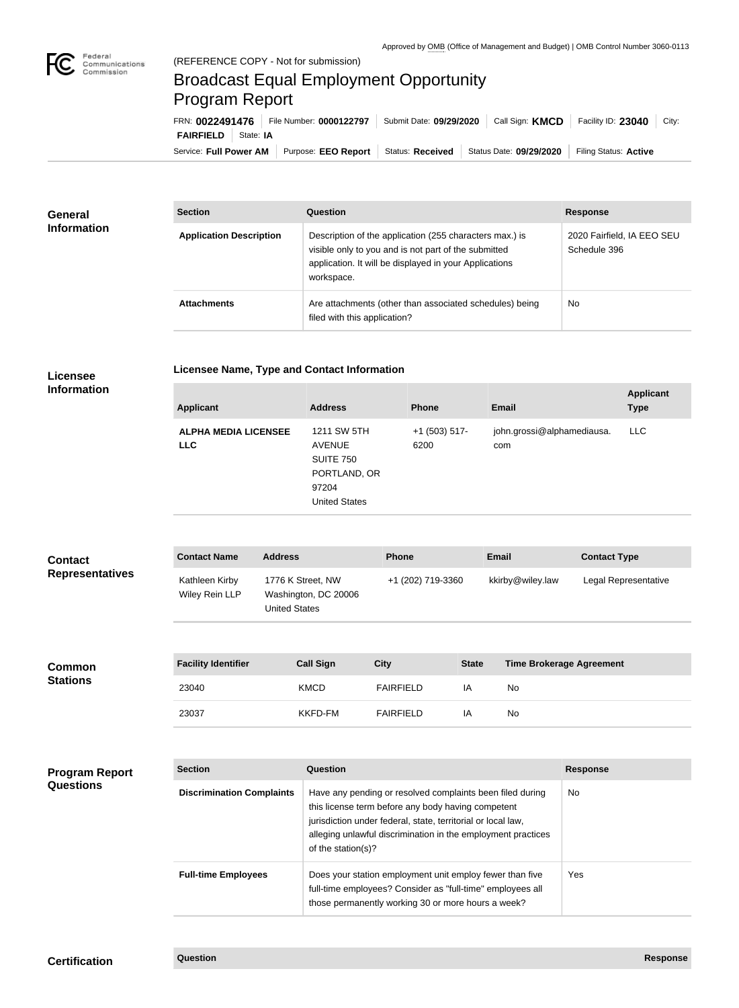

## Broadcast Equal Employment Opportunity Program Report

**Licensee Name, Type and Contact Information**

Service: Full Power AM | Purpose: EEO Report | Status: Received | Status Date: 09/29/2020 | Filing Status: Active **FAIRFIELD** State: IA FRN: **0022491476** File Number: **0000122797** Submit Date: **09/29/2020** Call Sign: **KMCD** Facility ID: **23040** City:

| <b>General</b><br><b>Information</b> | <b>Section</b>                 | Question                                                                                                                                                                                | <b>Response</b>                            |
|--------------------------------------|--------------------------------|-----------------------------------------------------------------------------------------------------------------------------------------------------------------------------------------|--------------------------------------------|
|                                      | <b>Application Description</b> | Description of the application (255 characters max.) is<br>visible only to you and is not part of the submitted<br>application. It will be displayed in your Applications<br>workspace. | 2020 Fairfield, IA EEO SEU<br>Schedule 396 |
|                                      | <b>Attachments</b>             | Are attachments (other than associated schedules) being<br>filed with this application?                                                                                                 | <b>No</b>                                  |

## **Licensee Information**

| <b>Applicant</b>                          | <b>Address</b>                                                                                    | <b>Phone</b>            | <b>Email</b>                      | <b>Applicant</b><br><b>Type</b> |
|-------------------------------------------|---------------------------------------------------------------------------------------------------|-------------------------|-----------------------------------|---------------------------------|
| <b>ALPHA MEDIA LICENSEE</b><br><b>LLC</b> | 1211 SW 5TH<br><b>AVENUE</b><br><b>SUITE 750</b><br>PORTLAND, OR<br>97204<br><b>United States</b> | $+1$ (503) 517-<br>6200 | john.grossi@alphamediausa.<br>com | <b>LLC</b>                      |
|                                           |                                                                                                   |                         |                                   |                                 |

| <b>Contact</b><br><b>Representatives</b>  | <b>Contact Name</b>              | <b>Address</b>                                                    | <b>Phone</b>                                                                                                    |              | <b>Email</b>                    | <b>Contact Type</b>  |
|-------------------------------------------|----------------------------------|-------------------------------------------------------------------|-----------------------------------------------------------------------------------------------------------------|--------------|---------------------------------|----------------------|
|                                           | Kathleen Kirby<br>Wiley Rein LLP | 1776 K Street, NW<br>Washington, DC 20006<br><b>United States</b> | +1 (202) 719-3360                                                                                               |              | kkirby@wiley.law                | Legal Representative |
|                                           |                                  |                                                                   |                                                                                                                 |              |                                 |                      |
| <b>Common</b><br><b>Stations</b>          | <b>Facility Identifier</b>       | <b>Call Sign</b>                                                  | <b>City</b>                                                                                                     | <b>State</b> | <b>Time Brokerage Agreement</b> |                      |
|                                           | 23040                            | <b>KMCD</b>                                                       | <b>FAIRFIELD</b>                                                                                                | IA           | No                              |                      |
|                                           | 23037                            | <b>KKFD-FM</b>                                                    | <b>FAIRFIELD</b>                                                                                                | IA           | No                              |                      |
|                                           |                                  |                                                                   |                                                                                                                 |              |                                 |                      |
| <b>Program Report</b><br><b>Questions</b> | <b>Section</b>                   | <b>Question</b>                                                   |                                                                                                                 |              |                                 | <b>Response</b>      |
|                                           | <b>Discrimination Complaints</b> |                                                                   | Have any pending or resolved complaints been filed during<br>this license term before any body having competent |              |                                 | No                   |